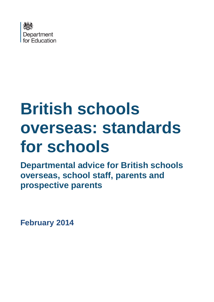

# **British schools overseas: standards for schools**

**Departmental advice for British schools overseas, school staff, parents and prospective parents**

**February 2014**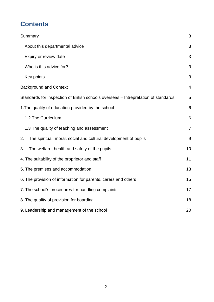## **Contents**

| Summary                                                                            | 3              |  |  |
|------------------------------------------------------------------------------------|----------------|--|--|
| About this departmental advice                                                     |                |  |  |
| Expiry or review date                                                              | 3              |  |  |
| Who is this advice for?                                                            | 3              |  |  |
| Key points                                                                         | 3              |  |  |
| <b>Background and Context</b>                                                      | 4              |  |  |
| Standards for inspection of British schools overseas - Intrepretation of standards | 5              |  |  |
| 1. The quality of education provided by the school                                 |                |  |  |
| 1.2 The Curriculum                                                                 | 6              |  |  |
| 1.3 The quality of teaching and assessment                                         | $\overline{7}$ |  |  |
| 2.<br>The spiritual, moral, social and cultural development of pupils              | $9\,$          |  |  |
| The welfare, health and safety of the pupils<br>3.                                 | 10             |  |  |
| 4. The suitability of the proprietor and staff                                     |                |  |  |
| 5. The premises and accommodation                                                  |                |  |  |
| 6. The provision of information for parents, carers and others                     |                |  |  |
| 7. The school's procedures for handling complaints                                 |                |  |  |
| 8. The quality of provision for boarding                                           |                |  |  |
| 9. Leadership and management of the school                                         |                |  |  |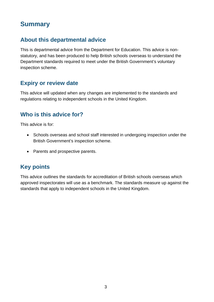## <span id="page-2-0"></span>**Summary**

#### <span id="page-2-1"></span>**About this departmental advice**

This is departmental advice from the Department for Education. This advice is nonstatutory, and has been produced to help British schools overseas to understand the Department standards required to meet under the British Government's voluntary inspection scheme.

#### <span id="page-2-2"></span>**Expiry or review date**

This advice will updated when any changes are implemented to the standards and regulations relating to independent schools in the United Kingdom.

#### <span id="page-2-3"></span>**Who is this advice for?**

This advice is for:

- Schools overseas and school staff interested in undergoing inspection under the British Government's inspection scheme.
- Parents and prospective parents.

#### <span id="page-2-4"></span>**Key points**

This advice outlines the standards for accreditation of British schools overseas which approved inspectorates will use as a benchmark. The standards measure up against the standards that apply to independent schools in the United Kingdom.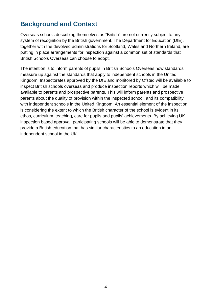## <span id="page-3-0"></span>**Background and Context**

Overseas schools describing themselves as "British" are not currently subject to any system of recognition by the British government. The Department for Education (DfE), together with the devolved administrations for Scotland, Wales and Northern Ireland, are putting in place arrangements for inspection against a common set of standards that British Schools Overseas can choose to adopt.

The intention is to inform parents of pupils in British Schools Overseas how standards measure up against the standards that apply to independent schools in the United Kingdom. Inspectorates approved by the DfE and monitored by Ofsted will be available to inspect British schools overseas and produce inspection reports which will be made available to parents and prospective parents. This will inform parents and prospective parents about the quality of provision within the inspected school, and its compatibility with independent schools in the United Kingdom. An essential element of the inspection is considering the extent to which the British character of the school is evident in its ethos, curriculum, teaching, care for pupils and pupils' achievements. By achieving UK inspection based approval, participating schools will be able to demonstrate that they provide a British education that has similar characteristics to an education in an independent school in the UK.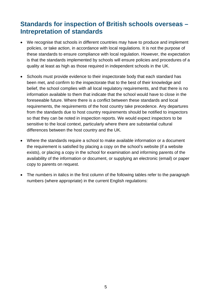## <span id="page-4-0"></span>**Standards for inspection of British schools overseas – Intrepretation of standards**

- We recognise that schools in different countries may have to produce and implement policies, or take action, in accordance with local regulations. It is not the purpose of these standards to ensure compliance with local regulation. However, the expectation is that the standards implemented by schools will ensure policies and procedures of a quality at least as high as those required in independent schools in the UK.
- Schools must provide evidence to their inspectorate body that each standard has been met, and confirm to the inspectorate that to the best of their knowledge and belief, the school complies with all local regulatory requirements, and that there is no information available to them that indicate that the school would have to close in the foreseeable future. Where there is a conflict between these standards and local requirements, the requirements of the host country take precedence. Any departures from the standards due to host country requirements should be notified to inspectors so that they can be noted in inspection reports. We would expect inspectors to be sensitive to the local context, particularly where there are substantial cultural differences between the host country and the UK.
- Where the standards require a school to make available information or a document the requirement is satisfied by placing a copy on the school's website (if a website exists), or placing a copy in the school for examination and informing parents of the availability of the information or document, or supplying an electronic (email) or paper copy to parents on request.
- The numbers in italics in the first column of the following tables refer to the paragraph numbers (where appropriate) in the current English regulations: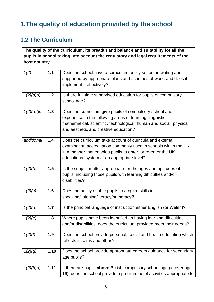## <span id="page-5-0"></span>**1.The quality of education provided by the school**

#### <span id="page-5-1"></span>**1.2 The Curriculum**

**The quality of the curriculum, its breadth and balance and suitability for all the pupils in school taking into account the regulatory and legal requirements of the host country.** 

| 1(2)        | 1.1   | Does the school have a curriculum policy set out in writing and<br>supported by appropriate plans and schemes of work, and does it<br>implement it effectively?                                                                                |
|-------------|-------|------------------------------------------------------------------------------------------------------------------------------------------------------------------------------------------------------------------------------------------------|
| 1(2)(a)(i)  | $1.2$ | Is there full-time supervised education for pupils of compulsory<br>school age?                                                                                                                                                                |
| 1(2)(a)(ii) | 1.3   | Does the curriculum give pupils of compulsory school age<br>experience in the following areas of learning: linguistic,<br>mathematical, scientific, technological, human and social, physical,<br>and aesthetic and creative education?        |
| additional  | 1.4   | Does the curriculum take account of curricula and external<br>examination accreditation commonly used in schools within the UK,<br>in a manner that enables pupils to enter, or re-enter the UK<br>educational system at an appropriate level? |
| 1(2)(b)     | 1.5   | Is the subject matter appropriate for the ages and aptitudes of<br>pupils, including those pupils with learning difficulties and/or<br>disabilities?                                                                                           |
| 1(2)(c)     | 1.6   | Does the policy enable pupils to acquire skills in<br>speaking/listening/literacy/numeracy?                                                                                                                                                    |
| 1(2)(d)     | 1.7   | Is the principal language of instruction either English (or Welsh)?                                                                                                                                                                            |
| 1(2)(e)     | 1.8   | Where pupils have been identified as having learning difficulties<br>and/or disabilities, does the curriculum provided meet their needs?                                                                                                       |
| 1(2)(f)     | 1.9   | Does the school provide personal, social and health education which<br>reflects its aims and ethos?                                                                                                                                            |
| 1(2)(g)     | 1.10  | Does the school provide appropriate careers guidance for secondary<br>age pupils?                                                                                                                                                              |
| 1(2)(h)(i)  | 1.11  | If there are pupils <b>above</b> British compulsory school age (ie over age<br>16), does the school provide a programme of activities appropriate to                                                                                           |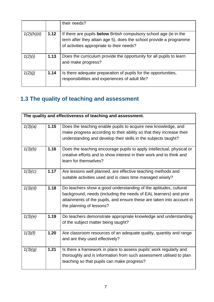|             |      | their needs?                                                                                                                                                                                 |
|-------------|------|----------------------------------------------------------------------------------------------------------------------------------------------------------------------------------------------|
| 1(2)(h)(ii) | 1.12 | If there are pupils <b>below</b> British compulsory school age (ie in the<br>term after they attain age 5), does the school provide a programme<br>of activities appropriate to their needs? |
| 1(2)(i)     | 1.13 | Does the curriculum provide the opportunity for all pupils to learn<br>and make progress?                                                                                                    |
| 1(2)(j)     | 1.14 | Is there adequate preparation of pupils for the opportunities,<br>responsibilities and experiences of adult life?                                                                            |

## <span id="page-6-0"></span>**1.3 The quality of teaching and assessment**

|         | The quality and effectiveness of teaching and assessment. |                                                                                                                                                                                                                                            |  |  |
|---------|-----------------------------------------------------------|--------------------------------------------------------------------------------------------------------------------------------------------------------------------------------------------------------------------------------------------|--|--|
| 1(3)(a) | 1.15                                                      | Does the teaching enable pupils to acquire new knowledge, and<br>make progress according to their ability so that they increase their<br>understanding and develop their skills in the subjects taught?                                    |  |  |
| 1(3)(b) | 1.16                                                      | Does the teaching encourage pupils to apply intellectual, physical or<br>creative efforts and to show interest in their work and to think and<br>learn for themselves?                                                                     |  |  |
| 1(3)(c) | 1.17                                                      | Are lessons well planned, are effective teaching methods and<br>suitable activities used and is class time managed wisely?                                                                                                                 |  |  |
| 1(3)(d) | 1.18                                                      | Do teachers show a good understanding of the aptitudes, cultural<br>background, needs (including the needs of EAL learners) and prior<br>attainments of the pupils, and ensure these are taken into account in<br>the planning of lessons? |  |  |
| 1(3)(e) | 1.19                                                      | Do teachers demonstrate appropriate knowledge and understanding<br>of the subject matter being taught?                                                                                                                                     |  |  |
| 1(3)(f) | 1.20                                                      | Are classroom resources of an adequate quality, quantity and range<br>and are they used effectively?                                                                                                                                       |  |  |
| 1(3)(g) | 1.21                                                      | Is there a framework in place to assess pupils' work regularly and<br>thoroughly and is information from such assessment utilised to plan<br>teaching so that pupils can make progress?                                                    |  |  |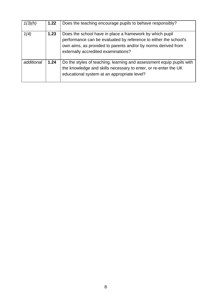| 1(3)(h)    | 1.22 | Does the teaching encourage pupils to behave responsibly?                                                                                                                                                                            |
|------------|------|--------------------------------------------------------------------------------------------------------------------------------------------------------------------------------------------------------------------------------------|
| 1(4)       | 1.23 | Does the school have in place a framework by which pupil<br>performance can be evaluated by reference to either the school's<br>own aims, as provided to parents and/or by norms derived from<br>externally accredited examinations? |
| additional | 1.24 | Do the styles of teaching, learning and assessment equip pupils with<br>the knowledge and skills necessary to enter, or re-enter the UK<br>educational system at an appropriate level?                                               |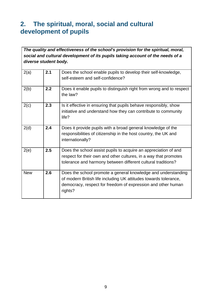## <span id="page-8-0"></span>**2. The spiritual, moral, social and cultural development of pupils**

*The quality and effectiveness of the school's provision for the spiritual, moral, social and cultural development of its pupils taking account of the needs of a diverse student body.* 

| 2(a)       | 2.1 | Does the school enable pupils to develop their self-knowledge,<br>self-esteem and self-confidence?                                                                                                           |
|------------|-----|--------------------------------------------------------------------------------------------------------------------------------------------------------------------------------------------------------------|
| 2(b)       | 2.2 | Does it enable pupils to distinguish right from wrong and to respect<br>the law?                                                                                                                             |
| 2(c)       | 2.3 | Is it effective in ensuring that pupils behave responsibly, show<br>initiative and understand how they can contribute to community<br>life?                                                                  |
| 2(d)       | 2.4 | Does it provide pupils with a broad general knowledge of the<br>responsibilities of citizenship in the host country, the UK and<br>internationally?                                                          |
| 2(e)       | 2.5 | Does the school assist pupils to acquire an appreciation of and<br>respect for their own and other cultures, in a way that promotes<br>tolerance and harmony between different cultural traditions?          |
| <b>New</b> | 2.6 | Does the school promote a general knowledge and understanding<br>of modern British life including UK attitudes towards tolerance,<br>democracy, respect for freedom of expression and other human<br>rights? |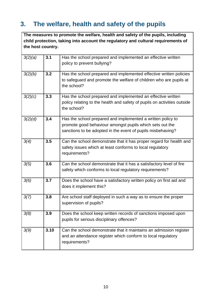## <span id="page-9-0"></span>**3. The welfare, health and safety of the pupils**

**The measures to promote the welfare, health and safety of the pupils, including child protection, taking into account the regulatory and cultural requirements of the host country.** 

| 3(2)(a) | 3.1  | Has the school prepared and implemented an effective written<br>policy to prevent bullying?                                                                                            |
|---------|------|----------------------------------------------------------------------------------------------------------------------------------------------------------------------------------------|
| 3(2)(b) | 3.2  | Has the school prepared and implemented effective written policies<br>to safeguard and promote the welfare of children who are pupils at<br>the school?                                |
| 3(2)(c) | 3.3  | Has the school prepared and implemented an effective written<br>policy relating to the health and safety of pupils on activities outside<br>the school?                                |
| 3(2)(d) | 3.4  | Has the school prepared and implemented a written policy to<br>promote good behaviour amongst pupils which sets out the<br>sanctions to be adopted in the event of pupils misbehaving? |
| 3(4)    | 3.5  | Can the school demonstrate that it has proper regard for health and<br>safety issues which at least conforms to local regulatory<br>requirements?                                      |
| 3(5)    | 3.6  | Can the school demonstrate that it has a satisfactory level of fire<br>safety which conforms to local regulatory requirements?                                                         |
| 3(6)    | 3.7  | Does the school have a satisfactory written policy on first aid and<br>does it implement this?                                                                                         |
| 3(7)    | 3.8  | Are school staff deployed in such a way as to ensure the proper<br>supervision of pupils?                                                                                              |
| 3(8)    | 3.9  | Does the school keep written records of sanctions imposed upon<br>pupils for serious disciplinary offences?                                                                            |
| 3(9)    | 3.10 | Can the school demonstrate that it maintains an admission register<br>and an attendance register which conform to local regulatory<br>requirements?                                    |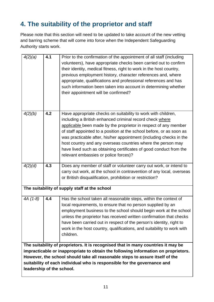## <span id="page-10-0"></span>**4. The suitability of the proprietor and staff**

Please note that this section will need to be updated to take account of the new vetting and barring scheme that will come into force when the Independent Safeguarding Authority starts work.

| 4(2)(a)                                                                                                                                                                                                                                                                                                                                                          | 4.1 | Prior to the confirmation of the appointment of all staff (including<br>volunteers), have appropriate checks been carried out to confirm<br>their identity, medical fitness, right to work in the host country,<br>previous employment history, character references and, where<br>appropriate, qualifications and professional references and has<br>such information been taken into account in determining whether<br>their appointment will be confirmed?                                                              |
|------------------------------------------------------------------------------------------------------------------------------------------------------------------------------------------------------------------------------------------------------------------------------------------------------------------------------------------------------------------|-----|----------------------------------------------------------------------------------------------------------------------------------------------------------------------------------------------------------------------------------------------------------------------------------------------------------------------------------------------------------------------------------------------------------------------------------------------------------------------------------------------------------------------------|
| 4(2)(b)                                                                                                                                                                                                                                                                                                                                                          | 4.2 | Have appropriate checks on suitability to work with children,<br>including a British enhanced criminal record check where<br>applicable been made by the proprietor in respect of any member<br>of staff appointed to a position at the school before, or as soon as<br>was practicable after, his/her appointment (including checks in the<br>host country and any overseas countries where the person may<br>have lived such as obtaining certificates of good conduct from the<br>relevant embassies or police forces)? |
| 4(2)(d)                                                                                                                                                                                                                                                                                                                                                          | 4.3 | Does any member of staff or volunteer carry out work, or intend to<br>carry out work, at the school in contravention of any local, overseas<br>or British disqualification, prohibition or restriction?                                                                                                                                                                                                                                                                                                                    |
|                                                                                                                                                                                                                                                                                                                                                                  |     | The suitability of supply staff at the school                                                                                                                                                                                                                                                                                                                                                                                                                                                                              |
| 4A (1-8)                                                                                                                                                                                                                                                                                                                                                         | 4.4 | Has the school taken all reasonable steps, within the context of<br>local requirements, to ensure that no person supplied by an<br>employment business to the school should begin work at the school<br>unless the proprietor has received written confirmation that checks<br>have been carried out in respect of the person's identity, right to<br>work in the host country, qualifications, and suitability to work with<br>children.                                                                                  |
| The suitability of proprietors. It is recognised that in many countries it may be<br>impracticable or inappropriate to obtain the following information on proprietors.<br>However, the school should take all reasonable steps to assure itself of the<br>suitability of each individual who is responsible for the governance and<br>leadership of the school. |     |                                                                                                                                                                                                                                                                                                                                                                                                                                                                                                                            |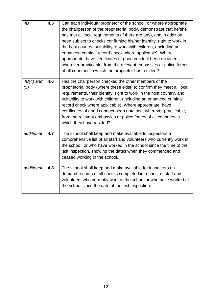| 4B                 | 4.5              | Can each individual proprietor of the school, or where appropriate<br>the chairperson of the proprietorial body, demonstrate that he/she<br>has met all local requirements (if there are any), and in addition<br>been subject to checks confirming his/her identity, right to work in<br>the host country, suitability to work with children, (including an<br>enhanced criminal record check where applicable). Where<br>appropriate, have certificates of good conduct been obtained,<br>wherever practicable, from the relevant embassies or police forces<br>of all countries in which the proprietor has resided? |
|--------------------|------------------|-------------------------------------------------------------------------------------------------------------------------------------------------------------------------------------------------------------------------------------------------------------------------------------------------------------------------------------------------------------------------------------------------------------------------------------------------------------------------------------------------------------------------------------------------------------------------------------------------------------------------|
| $4B(4)$ and<br>(5) | 4.6              | Has the chairperson checked the other members of the<br>proprietorial body (where these exist) to confirm they meet all local<br>requirements, their identity, right to work in the host country, and<br>suitability to work with children, (including an enhanced criminal<br>record check where applicable). Where appropriate, have<br>certificates of good conduct been obtained, wherever practicable,<br>from the relevant embassies or police forces of all countries in<br>which they have resided?                                                                                                             |
| additional         | $\overline{4.7}$ | The school shall keep and make available to inspectors a<br>comprehensive list of all staff and volunteers who currently work in<br>the school, or who have worked in the school since the time of the<br>last inspection, showing the dates when they commenced and<br>ceased working in the school.                                                                                                                                                                                                                                                                                                                   |
| additional         | 4.8              | The school shall keep and make available for inspectors on<br>demand records of all checks completed in respect of staff and<br>volunteers who currently work at the school or who have worked at<br>the school since the date of the last inspection.                                                                                                                                                                                                                                                                                                                                                                  |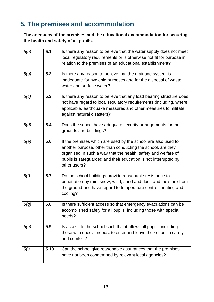# <span id="page-12-0"></span>**5. The premises and accommodation**

| The adequacy of the premises and the educational accommodation for securing<br>the health and safety of all pupils. |      |                                                                                                                                                                                                                                                                                    |
|---------------------------------------------------------------------------------------------------------------------|------|------------------------------------------------------------------------------------------------------------------------------------------------------------------------------------------------------------------------------------------------------------------------------------|
| 5(a)                                                                                                                | 5.1  | Is there any reason to believe that the water supply does not meet<br>local regulatory requirements or is otherwise not fit for purpose in<br>relation to the premises of an educational establishment?                                                                            |
| 5(b)                                                                                                                | 5.2  | Is there any reason to believe that the drainage system is<br>inadequate for hygienic purposes and for the disposal of waste<br>water and surface water?                                                                                                                           |
| 5(c)                                                                                                                | 5.3  | Is there any reason to believe that any load bearing structure does<br>not have regard to local regulatory requirements (including, where<br>applicable, earthquake measures and other measures to militate<br>against natural disasters)?                                         |
| 5(d)                                                                                                                | 5.4  | Does the school have adequate security arrangements for the<br>grounds and buildings?                                                                                                                                                                                              |
| 5(e)                                                                                                                | 5.6  | If the premises which are used by the school are also used for<br>another purpose, other than conducting the school, are they<br>organised in such a way that the health, safety and welfare of<br>pupils is safeguarded and their education is not interrupted by<br>other users? |
| 5(f)                                                                                                                | 5.7  | Do the school buildings provide reasonable resistance to<br>penetration by rain, snow, wind, sand and dust, and moisture from<br>the ground and have regard to temperature control, heating and<br>cooling?                                                                        |
| 5(g)                                                                                                                | 5.8  | Is there sufficient access so that emergency evacuations can be<br>accomplished safely for all pupils, including those with special<br>needs?                                                                                                                                      |
| 5(h)                                                                                                                | 5.9  | Is access to the school such that it allows all pupils, including<br>those with special needs, to enter and leave the school in safety<br>and comfort?                                                                                                                             |
| 5(i)                                                                                                                | 5.10 | Can the school give reasonable assurances that the premises<br>have not been condemned by relevant local agencies?                                                                                                                                                                 |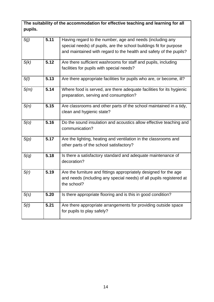**The suitability of the accommodation for effective teaching and learning for all pupils.** 

| 5(j) | 5.11 | Having regard to the number, age and needs (including any<br>special needs) of pupils, are the school buildings fit for purpose<br>and maintained with regard to the health and safety of the pupils? |
|------|------|-------------------------------------------------------------------------------------------------------------------------------------------------------------------------------------------------------|
| 5(k) | 5.12 | Are there sufficient washrooms for staff and pupils, including<br>facilities for pupils with special needs?                                                                                           |
| 5(1) | 5.13 | Are there appropriate facilities for pupils who are, or become, ill?                                                                                                                                  |
| 5(m) | 5.14 | Where food is served, are there adequate facilities for its hygienic<br>preparation, serving and consumption?                                                                                         |
| 5(n) | 5.15 | Are classrooms and other parts of the school maintained in a tidy,<br>clean and hygienic state?                                                                                                       |
| 5(0) | 5.16 | Do the sound insulation and acoustics allow effective teaching and<br>communication?                                                                                                                  |
| 5(p) | 5.17 | Are the lighting, heating and ventilation in the classrooms and<br>other parts of the school satisfactory?                                                                                            |
| 5(q) | 5.18 | Is there a satisfactory standard and adequate maintenance of<br>decoration?                                                                                                                           |
| 5(r) | 5.19 | Are the furniture and fittings appropriately designed for the age<br>and needs (including any special needs) of all pupils registered at<br>the school?                                               |
| 5(s) | 5.20 | Is there appropriate flooring and is this in good condition?                                                                                                                                          |
| 5(t) | 5.21 | Are there appropriate arrangements for providing outside space<br>for pupils to play safely?                                                                                                          |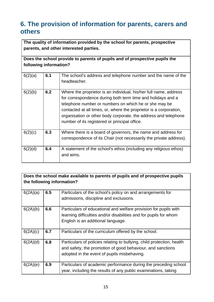## <span id="page-14-0"></span>**6. The provision of information for parents, carers and others**

**The quality of information provided by the school for parents, prospective parents, and other interested parties.** 

**Does the school provide to parents of pupils and of prospective pupils the following information?** 

| 6(2)(a) | 6.1 | The school's address and telephone number and the name of the<br>headteacher.                                                                                                                                                                                                                                                                                                       |
|---------|-----|-------------------------------------------------------------------------------------------------------------------------------------------------------------------------------------------------------------------------------------------------------------------------------------------------------------------------------------------------------------------------------------|
| 6(2)(b) | 6.2 | Where the proprietor is an individual, his/her full name, address<br>for correspondence during both term time and holidays and a<br>telephone number or numbers on which he or she may be<br>contacted at all times, or, where the proprietor is a corporation,<br>organisation or other body corporate, the address and telephone<br>number of its registered or principal office. |
| 6(2)(c) | 6.3 | Where there is a board of governors, the name and address for<br>correspondence of its Chair (not necessarily the private address).                                                                                                                                                                                                                                                 |
| 6(2)(d) | 6.4 | A statement of the school's ethos (including any religious ethos)<br>and aims.                                                                                                                                                                                                                                                                                                      |

**Does the school make available to parents of pupils and of prospective pupils the following information?** 

| 6(2A)(a) | 6.5 | Particulars of the school's policy on and arrangements for<br>admissions, discipline and exclusions.                                                                                |
|----------|-----|-------------------------------------------------------------------------------------------------------------------------------------------------------------------------------------|
| 6(2A)(b) | 6.6 | Particulars of educational and welfare provision for pupils with<br>learning difficulties and/or disabilities and for pupils for whom<br>English is an additional language.         |
| 6(2A)(c) | 6.7 | Particulars of the curriculum offered by the school.                                                                                                                                |
| 6(2A)(d) | 6.8 | Particulars of policies relating to bullying, child protection, health<br>and safety, the promotion of good behaviour, and sanctions<br>adopted in the event of pupils misbehaving. |
| 6(2A)(e) | 6.9 | Particulars of academic performance during the preceding school<br>year, including the results of any public examinations, taking                                                   |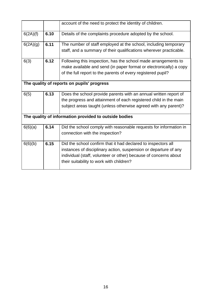|                                            |      | account of the need to protect the identity of children.                                                                                                                                                                                          |  |  |
|--------------------------------------------|------|---------------------------------------------------------------------------------------------------------------------------------------------------------------------------------------------------------------------------------------------------|--|--|
| 6(2A)(f)                                   | 6.10 | Details of the complaints procedure adopted by the school.                                                                                                                                                                                        |  |  |
| 6(2A)(g)                                   | 6.11 | The number of staff employed at the school, including temporary<br>staff, and a summary of their qualifications wherever practicable.                                                                                                             |  |  |
| 6(3)                                       | 6.12 | Following this inspection, has the school made arrangements to<br>make available and send (in paper format or electronically) a copy<br>of the full report to the parents of every registered pupil?                                              |  |  |
| The quality of reports on pupils' progress |      |                                                                                                                                                                                                                                                   |  |  |
| 6(5)                                       | 6.13 | Does the school provide parents with an annual written report of<br>the progress and attainment of each registered child in the main<br>subject areas taught (unless otherwise agreed with any parent)?                                           |  |  |
|                                            |      | The quality of information provided to outside bodies                                                                                                                                                                                             |  |  |
| 6(6)(a)                                    | 6.14 | Did the school comply with reasonable requests for information in<br>connection with the inspection?                                                                                                                                              |  |  |
| 6(6)(b)                                    | 6.15 | Did the school confirm that it had declared to inspectors all<br>instances of disciplinary action, suspension or departure of any<br>individual (staff, volunteer or other) because of concerns about<br>their suitability to work with children? |  |  |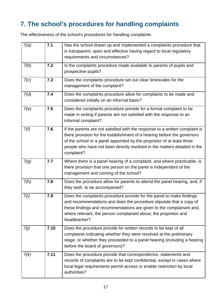## <span id="page-16-0"></span>**7. The school's procedures for handling complaints**

The effectiveness of the school's procedures for handling complaints

| 7(a) | 7.1  | Has the school drawn up and implemented a complaints procedure that<br>is transparent, open and effective having regard to local regulatory<br>requirements and circumstances?                                                                                                                                               |
|------|------|------------------------------------------------------------------------------------------------------------------------------------------------------------------------------------------------------------------------------------------------------------------------------------------------------------------------------|
| 7(b) | 7.2  | Is the complaints procedure made available to parents of pupils and<br>prospective pupils?                                                                                                                                                                                                                                   |
| 7(c) | 7.3  | Does the complaints procedure set out clear timescales for the<br>management of the complaint?                                                                                                                                                                                                                               |
| 7(d) | 7.4  | Does the complaints procedure allow for complaints to be made and<br>considered initially on an informal basis?                                                                                                                                                                                                              |
| 7(e) | 7.5  | Does the complaints procedure provide for a formal complaint to be<br>made in writing if parents are not satisfied with the response to an<br>informal complaint?                                                                                                                                                            |
| 7(f) | 7.6  | If the parents are not satisfied with the response to a written complaint is<br>there provision for the establishment of a hearing before the governors<br>of the school or a panel appointed by the proprietor of at least three<br>people who have not been directly involved in the matters detailed in the<br>complaint? |
| 7(g) | 7.7  | Where there is a panel hearing of a complaint, and where practicable, is<br>there provision that one person on the panel is independent of the<br>management and running of the school?                                                                                                                                      |
| 7(h) | 7.8  | Does the procedure allow for parents to attend the panel hearing, and, if<br>they wish, to be accompanied?                                                                                                                                                                                                                   |
| 7(i) | 7.9  | Does the complaints procedure provide for the panel to make findings<br>and recommendations and does the procedure stipulate that a copy of<br>these findings and recommendations are given to the complainant and,<br>where relevant, the person complained about, the proprietor and<br>headteacher?                       |
| 7(j) | 7.10 | Does the procedure provide for written records to be kept of all<br>complaints indicating whether they were resolved at the preliminary<br>stage, or whether they proceeded to a panel hearing (including a hearing<br>before the board of governors)?                                                                       |
| 7(k) | 7.11 | Does the procedure provide that correspondence, statements and<br>records of complaints are to be kept confidential, except in cases where<br>local legal requirements permit access or enable restriction by local<br>authorities?                                                                                          |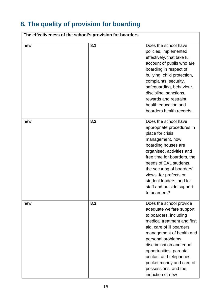# <span id="page-17-0"></span>**8. The quality of provision for boarding**

| The effectiveness of the school's provision for boarders |     |                                                                                                                                                                                                                                                                                                                                                        |
|----------------------------------------------------------|-----|--------------------------------------------------------------------------------------------------------------------------------------------------------------------------------------------------------------------------------------------------------------------------------------------------------------------------------------------------------|
| new                                                      | 8.1 | Does the school have<br>policies, implemented<br>effectively, that take full<br>account of pupils who are<br>boarding in respect of<br>bullying, child protection,<br>complaints, security,<br>safeguarding, behaviour,<br>discipline, sanctions,<br>rewards and restraint,<br>health education and<br>boarders health records.                        |
| new                                                      | 8.2 | Does the school have<br>appropriate procedures in<br>place for crisis<br>management, how<br>boarding houses are<br>organised, activities and<br>free time for boarders, the<br>needs of EAL students,<br>the securing of boarders'<br>views, for prefects or<br>student leaders, and for<br>staff and outside support<br>to boarders?                  |
| new                                                      | 8.3 | Does the school provide<br>adequate welfare support<br>to boarders, including<br>medical treatment and first<br>aid, care of ill boarders,<br>management of health and<br>personal problems,<br>discrimination and equal<br>opportunities, parental<br>contact and telephones,<br>pocket money and care of<br>possessions, and the<br>induction of new |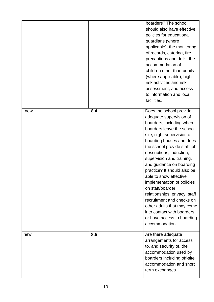|     |     | boarders? The school<br>should also have effective<br>policies for educational<br>guardians (where<br>applicable), the monitoring<br>of records, catering, fire<br>precautions and drills, the<br>accommodation of<br>children other than pupils<br>(where applicable), high<br>risk activities and risk<br>assessment, and access<br>to information and local<br>facilities.                                                                                                                                                                                                   |
|-----|-----|---------------------------------------------------------------------------------------------------------------------------------------------------------------------------------------------------------------------------------------------------------------------------------------------------------------------------------------------------------------------------------------------------------------------------------------------------------------------------------------------------------------------------------------------------------------------------------|
| new | 8.4 | Does the school provide<br>adequate supervision of<br>boarders, including when<br>boarders leave the school<br>site, night supervision of<br>boarding houses and does<br>the school provide staff job<br>descriptions, induction,<br>supervision and training,<br>and guidance on boarding<br>practice? It should also be<br>able to show effective<br>implementation of policies<br>on staff/boarder<br>relationships, privacy, staff<br>recruitment and checks on<br>other adults that may come<br>into contact with boarders<br>or have access to boarding<br>accommodation. |
| new | 8.5 | Are there adequate<br>arrangements for access<br>to, and security of, the<br>accommodation used by<br>boarders including off-site<br>accommodation and short<br>term exchanges.                                                                                                                                                                                                                                                                                                                                                                                                 |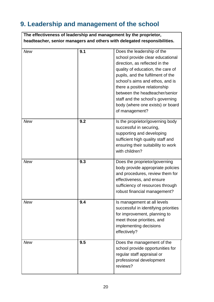# <span id="page-19-0"></span>**9. Leadership and management of the school**

|            |     | The effectiveness of leadership and management by the proprietor,<br>headteacher, senior managers and others with delegated responsibilities.                                                                                                                                                                                                                              |
|------------|-----|----------------------------------------------------------------------------------------------------------------------------------------------------------------------------------------------------------------------------------------------------------------------------------------------------------------------------------------------------------------------------|
| <b>New</b> | 9.1 | Does the leadership of the<br>school provide clear educational<br>direction, as reflected in the<br>quality of education, the care of<br>pupils, and the fulfilment of the<br>school's aims and ethos, and is<br>there a positive relationship<br>between the headteacher/senior<br>staff and the school's governing<br>body (where one exists) or board<br>of management? |
| <b>New</b> | 9.2 | Is the proprietor/governing body<br>successful in securing,<br>supporting and developing<br>sufficient high quality staff and<br>ensuring their suitability to work<br>with children?                                                                                                                                                                                      |
| <b>New</b> | 9.3 | Does the proprietor/governing<br>body provide appropriate policies<br>and procedures, review them for<br>effectiveness, and ensure<br>sufficiency of resources through<br>robust financial management?                                                                                                                                                                     |
| <b>New</b> | 9.4 | Is management at all levels<br>successful in identifying priorities<br>for improvement, planning to<br>meet those priorities, and<br>implementing decisions<br>effectively?                                                                                                                                                                                                |
| <b>New</b> | 9.5 | Does the management of the<br>school provide opportunities for<br>regular staff appraisal or<br>professional development<br>reviews?                                                                                                                                                                                                                                       |